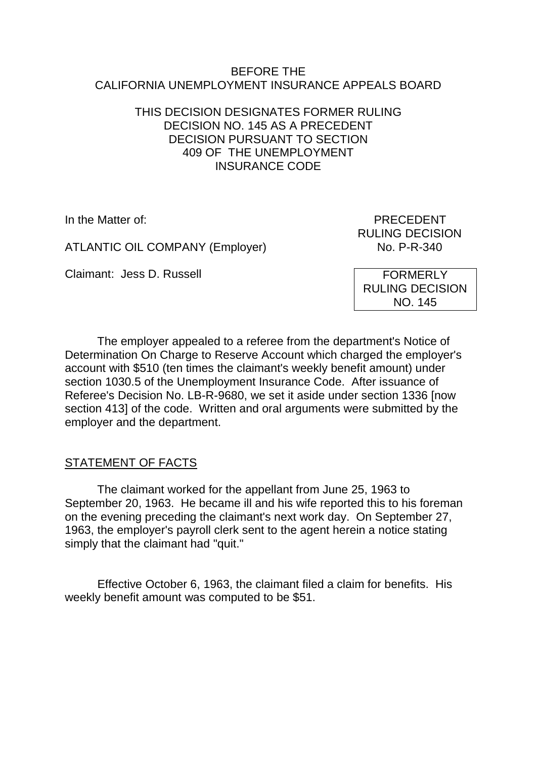#### BEFORE THE CALIFORNIA UNEMPLOYMENT INSURANCE APPEALS BOARD

#### THIS DECISION DESIGNATES FORMER RULING DECISION NO. 145 AS A PRECEDENT DECISION PURSUANT TO SECTION 409 OF THE UNEMPLOYMENT INSURANCE CODE

ATLANTIC OIL COMPANY (Employer) No. P-R-340

Claimant: Jess D. Russell

In the Matter of: PRECEDENT RULING DECISION

> FORMERLY RULING DECISION NO. 145

The employer appealed to a referee from the department's Notice of Determination On Charge to Reserve Account which charged the employer's account with \$510 (ten times the claimant's weekly benefit amount) under section 1030.5 of the Unemployment Insurance Code. After issuance of Referee's Decision No. LB-R-9680, we set it aside under section 1336 [now section 413] of the code. Written and oral arguments were submitted by the employer and the department.

## STATEMENT OF FACTS

The claimant worked for the appellant from June 25, 1963 to September 20, 1963. He became ill and his wife reported this to his foreman on the evening preceding the claimant's next work day. On September 27, 1963, the employer's payroll clerk sent to the agent herein a notice stating simply that the claimant had "quit."

Effective October 6, 1963, the claimant filed a claim for benefits. His weekly benefit amount was computed to be \$51.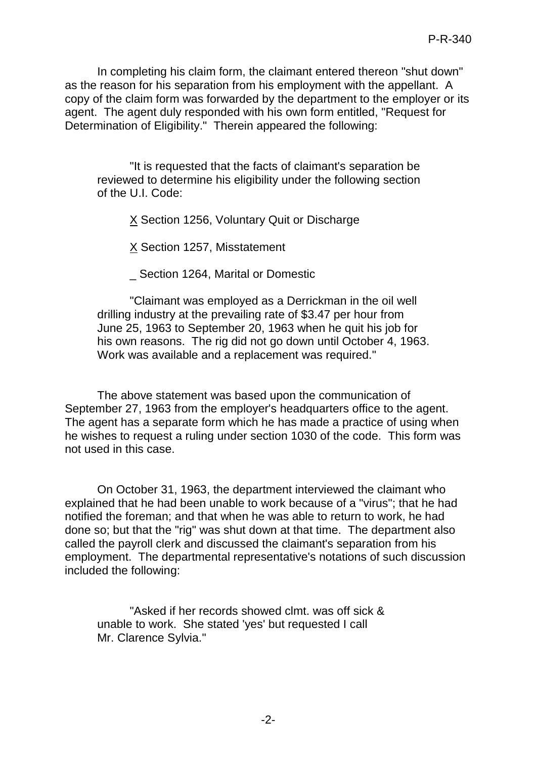In completing his claim form, the claimant entered thereon "shut down" as the reason for his separation from his employment with the appellant. A copy of the claim form was forwarded by the department to the employer or its agent. The agent duly responded with his own form entitled, "Request for Determination of Eligibility." Therein appeared the following:

"It is requested that the facts of claimant's separation be reviewed to determine his eligibility under the following section of the U.I. Code:

 $X$  Section 1256, Voluntary Quit or Discharge

X Section 1257, Misstatement

Section 1264, Marital or Domestic

"Claimant was employed as a Derrickman in the oil well drilling industry at the prevailing rate of \$3.47 per hour from June 25, 1963 to September 20, 1963 when he quit his job for his own reasons. The rig did not go down until October 4, 1963. Work was available and a replacement was required."

The above statement was based upon the communication of September 27, 1963 from the employer's headquarters office to the agent. The agent has a separate form which he has made a practice of using when he wishes to request a ruling under section 1030 of the code. This form was not used in this case.

On October 31, 1963, the department interviewed the claimant who explained that he had been unable to work because of a "virus"; that he had notified the foreman; and that when he was able to return to work, he had done so; but that the "rig" was shut down at that time. The department also called the payroll clerk and discussed the claimant's separation from his employment. The departmental representative's notations of such discussion included the following:

"Asked if her records showed clmt. was off sick & unable to work. She stated 'yes' but requested I call Mr. Clarence Sylvia."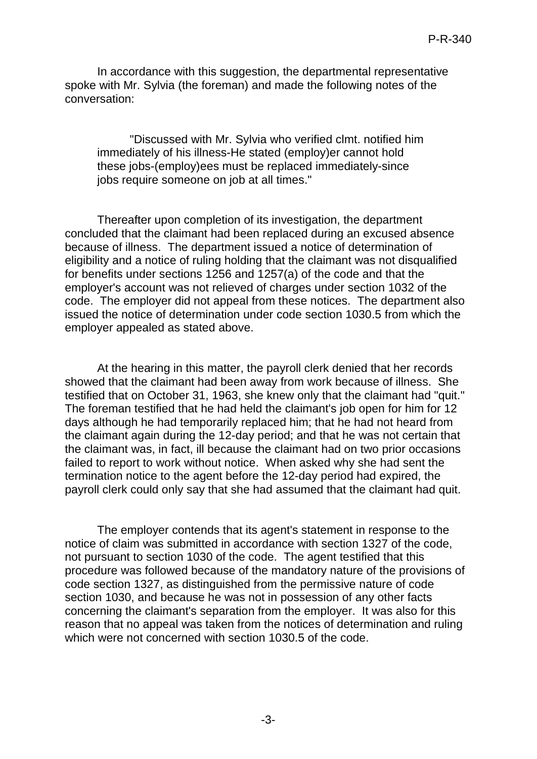In accordance with this suggestion, the departmental representative spoke with Mr. Sylvia (the foreman) and made the following notes of the conversation:

"Discussed with Mr. Sylvia who verified clmt. notified him immediately of his illness-He stated (employ)er cannot hold these jobs-(employ)ees must be replaced immediately-since jobs require someone on job at all times."

Thereafter upon completion of its investigation, the department concluded that the claimant had been replaced during an excused absence because of illness. The department issued a notice of determination of eligibility and a notice of ruling holding that the claimant was not disqualified for benefits under sections 1256 and 1257(a) of the code and that the employer's account was not relieved of charges under section 1032 of the code. The employer did not appeal from these notices. The department also issued the notice of determination under code section 1030.5 from which the employer appealed as stated above.

At the hearing in this matter, the payroll clerk denied that her records showed that the claimant had been away from work because of illness. She testified that on October 31, 1963, she knew only that the claimant had "quit." The foreman testified that he had held the claimant's job open for him for 12 days although he had temporarily replaced him; that he had not heard from the claimant again during the 12-day period; and that he was not certain that the claimant was, in fact, ill because the claimant had on two prior occasions failed to report to work without notice. When asked why she had sent the termination notice to the agent before the 12-day period had expired, the payroll clerk could only say that she had assumed that the claimant had quit.

The employer contends that its agent's statement in response to the notice of claim was submitted in accordance with section 1327 of the code, not pursuant to section 1030 of the code. The agent testified that this procedure was followed because of the mandatory nature of the provisions of code section 1327, as distinguished from the permissive nature of code section 1030, and because he was not in possession of any other facts concerning the claimant's separation from the employer. It was also for this reason that no appeal was taken from the notices of determination and ruling which were not concerned with section 1030.5 of the code.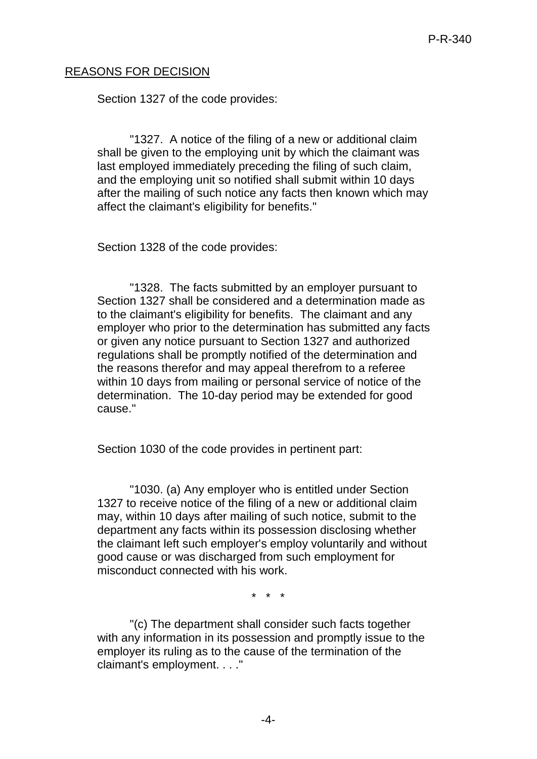## REASONS FOR DECISION

Section 1327 of the code provides:

"1327. A notice of the filing of a new or additional claim shall be given to the employing unit by which the claimant was last employed immediately preceding the filing of such claim, and the employing unit so notified shall submit within 10 days after the mailing of such notice any facts then known which may affect the claimant's eligibility for benefits."

Section 1328 of the code provides:

"1328. The facts submitted by an employer pursuant to Section 1327 shall be considered and a determination made as to the claimant's eligibility for benefits. The claimant and any employer who prior to the determination has submitted any facts or given any notice pursuant to Section 1327 and authorized regulations shall be promptly notified of the determination and the reasons therefor and may appeal therefrom to a referee within 10 days from mailing or personal service of notice of the determination. The 10-day period may be extended for good cause."

Section 1030 of the code provides in pertinent part:

"1030. (a) Any employer who is entitled under Section 1327 to receive notice of the filing of a new or additional claim may, within 10 days after mailing of such notice, submit to the department any facts within its possession disclosing whether the claimant left such employer's employ voluntarily and without good cause or was discharged from such employment for misconduct connected with his work.

\* \* \*

"(c) The department shall consider such facts together with any information in its possession and promptly issue to the employer its ruling as to the cause of the termination of the claimant's employment. . . ."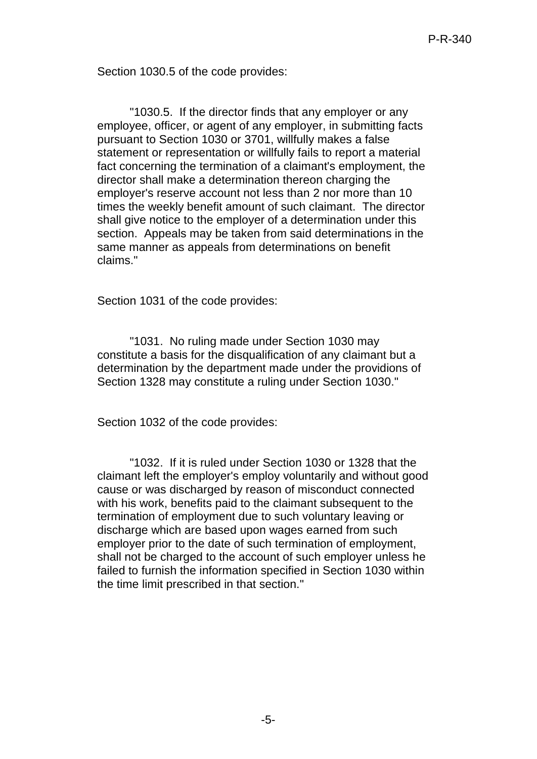Section 1030.5 of the code provides:

"1030.5. If the director finds that any employer or any employee, officer, or agent of any employer, in submitting facts pursuant to Section 1030 or 3701, willfully makes a false statement or representation or willfully fails to report a material fact concerning the termination of a claimant's employment, the director shall make a determination thereon charging the employer's reserve account not less than 2 nor more than 10 times the weekly benefit amount of such claimant. The director shall give notice to the employer of a determination under this section. Appeals may be taken from said determinations in the same manner as appeals from determinations on benefit claims."

Section 1031 of the code provides:

"1031. No ruling made under Section 1030 may constitute a basis for the disqualification of any claimant but a determination by the department made under the providions of Section 1328 may constitute a ruling under Section 1030."

Section 1032 of the code provides:

"1032. If it is ruled under Section 1030 or 1328 that the claimant left the employer's employ voluntarily and without good cause or was discharged by reason of misconduct connected with his work, benefits paid to the claimant subsequent to the termination of employment due to such voluntary leaving or discharge which are based upon wages earned from such employer prior to the date of such termination of employment, shall not be charged to the account of such employer unless he failed to furnish the information specified in Section 1030 within the time limit prescribed in that section."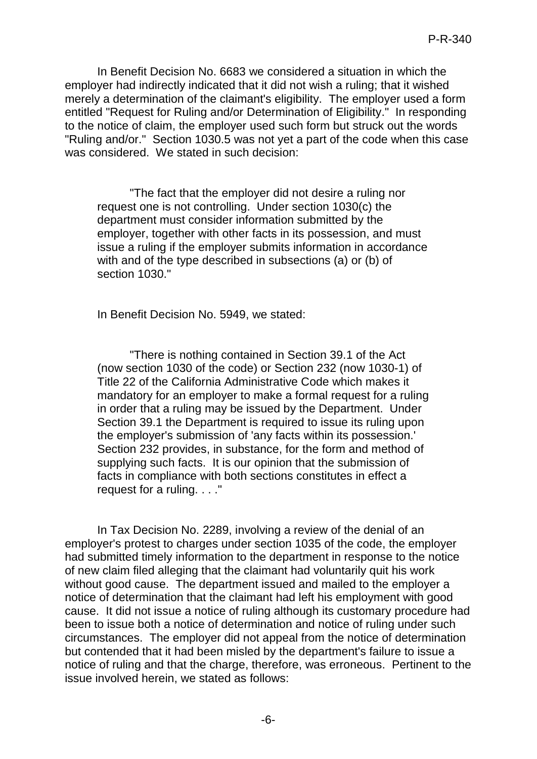In Benefit Decision No. 6683 we considered a situation in which the employer had indirectly indicated that it did not wish a ruling; that it wished merely a determination of the claimant's eligibility. The employer used a form entitled "Request for Ruling and/or Determination of Eligibility." In responding to the notice of claim, the employer used such form but struck out the words "Ruling and/or." Section 1030.5 was not yet a part of the code when this case was considered. We stated in such decision:

"The fact that the employer did not desire a ruling nor request one is not controlling. Under section 1030(c) the department must consider information submitted by the employer, together with other facts in its possession, and must issue a ruling if the employer submits information in accordance with and of the type described in subsections (a) or (b) of section 1030."

In Benefit Decision No. 5949, we stated:

"There is nothing contained in Section 39.1 of the Act (now section 1030 of the code) or Section 232 (now 1030-1) of Title 22 of the California Administrative Code which makes it mandatory for an employer to make a formal request for a ruling in order that a ruling may be issued by the Department. Under Section 39.1 the Department is required to issue its ruling upon the employer's submission of 'any facts within its possession.' Section 232 provides, in substance, for the form and method of supplying such facts. It is our opinion that the submission of facts in compliance with both sections constitutes in effect a request for a ruling. . . ."

In Tax Decision No. 2289, involving a review of the denial of an employer's protest to charges under section 1035 of the code, the employer had submitted timely information to the department in response to the notice of new claim filed alleging that the claimant had voluntarily quit his work without good cause. The department issued and mailed to the employer a notice of determination that the claimant had left his employment with good cause. It did not issue a notice of ruling although its customary procedure had been to issue both a notice of determination and notice of ruling under such circumstances. The employer did not appeal from the notice of determination but contended that it had been misled by the department's failure to issue a notice of ruling and that the charge, therefore, was erroneous. Pertinent to the issue involved herein, we stated as follows: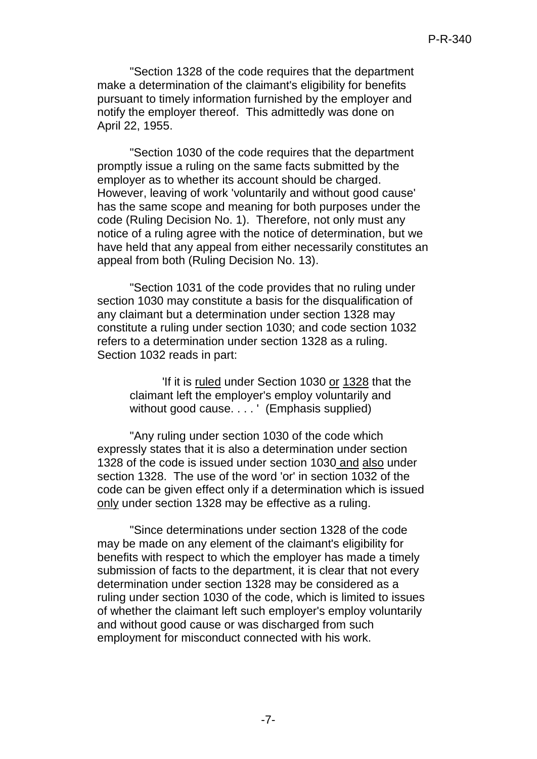"Section 1328 of the code requires that the department make a determination of the claimant's eligibility for benefits pursuant to timely information furnished by the employer and notify the employer thereof. This admittedly was done on April 22, 1955.

"Section 1030 of the code requires that the department promptly issue a ruling on the same facts submitted by the employer as to whether its account should be charged. However, leaving of work 'voluntarily and without good cause' has the same scope and meaning for both purposes under the code (Ruling Decision No. 1). Therefore, not only must any notice of a ruling agree with the notice of determination, but we have held that any appeal from either necessarily constitutes an appeal from both (Ruling Decision No. 13).

"Section 1031 of the code provides that no ruling under section 1030 may constitute a basis for the disqualification of any claimant but a determination under section 1328 may constitute a ruling under section 1030; and code section 1032 refers to a determination under section 1328 as a ruling. Section 1032 reads in part:

> 'If it is ruled under Section 1030 or 1328 that the claimant left the employer's employ voluntarily and without good cause. . . . ' (Emphasis supplied)

"Any ruling under section 1030 of the code which expressly states that it is also a determination under section 1328 of the code is issued under section 1030 and also under section 1328. The use of the word 'or' in section 1032 of the code can be given effect only if a determination which is issued only under section 1328 may be effective as a ruling.

"Since determinations under section 1328 of the code may be made on any element of the claimant's eligibility for benefits with respect to which the employer has made a timely submission of facts to the department, it is clear that not every determination under section 1328 may be considered as a ruling under section 1030 of the code, which is limited to issues of whether the claimant left such employer's employ voluntarily and without good cause or was discharged from such employment for misconduct connected with his work.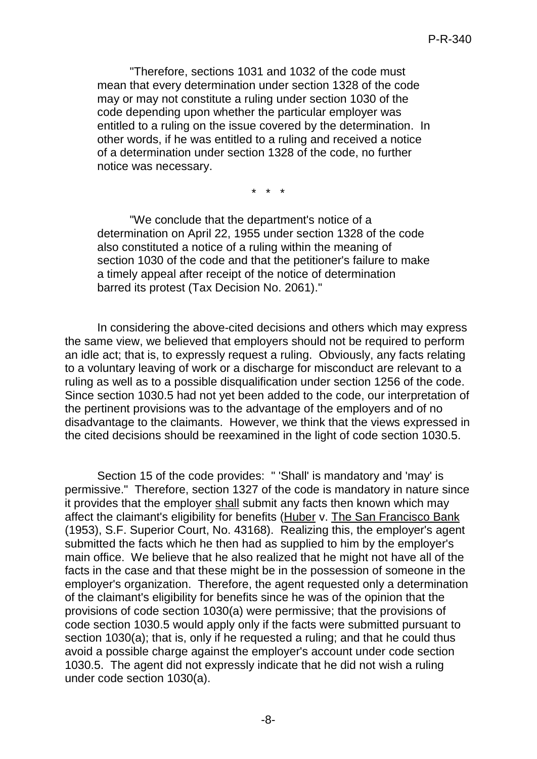"Therefore, sections 1031 and 1032 of the code must mean that every determination under section 1328 of the code may or may not constitute a ruling under section 1030 of the code depending upon whether the particular employer was entitled to a ruling on the issue covered by the determination. In other words, if he was entitled to a ruling and received a notice of a determination under section 1328 of the code, no further notice was necessary.

\* \* \*

"We conclude that the department's notice of a determination on April 22, 1955 under section 1328 of the code also constituted a notice of a ruling within the meaning of section 1030 of the code and that the petitioner's failure to make a timely appeal after receipt of the notice of determination barred its protest (Tax Decision No. 2061)."

In considering the above-cited decisions and others which may express the same view, we believed that employers should not be required to perform an idle act; that is, to expressly request a ruling. Obviously, any facts relating to a voluntary leaving of work or a discharge for misconduct are relevant to a ruling as well as to a possible disqualification under section 1256 of the code. Since section 1030.5 had not yet been added to the code, our interpretation of the pertinent provisions was to the advantage of the employers and of no disadvantage to the claimants. However, we think that the views expressed in the cited decisions should be reexamined in the light of code section 1030.5.

Section 15 of the code provides: " 'Shall' is mandatory and 'may' is permissive." Therefore, section 1327 of the code is mandatory in nature since it provides that the employer shall submit any facts then known which may affect the claimant's eligibility for benefits (Huber v. The San Francisco Bank (1953), S.F. Superior Court, No. 43168). Realizing this, the employer's agent submitted the facts which he then had as supplied to him by the employer's main office. We believe that he also realized that he might not have all of the facts in the case and that these might be in the possession of someone in the employer's organization. Therefore, the agent requested only a determination of the claimant's eligibility for benefits since he was of the opinion that the provisions of code section 1030(a) were permissive; that the provisions of code section 1030.5 would apply only if the facts were submitted pursuant to section 1030(a); that is, only if he requested a ruling; and that he could thus avoid a possible charge against the employer's account under code section 1030.5. The agent did not expressly indicate that he did not wish a ruling under code section 1030(a).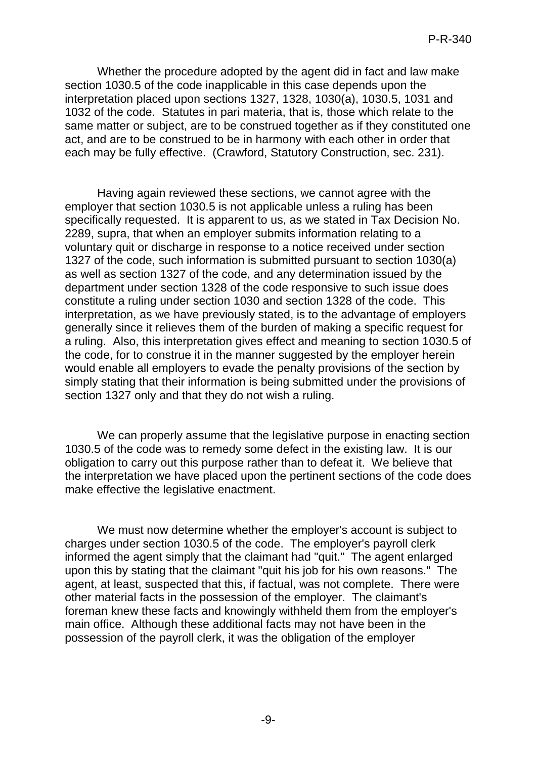Whether the procedure adopted by the agent did in fact and law make section 1030.5 of the code inapplicable in this case depends upon the interpretation placed upon sections 1327, 1328, 1030(a), 1030.5, 1031 and 1032 of the code. Statutes in pari materia, that is, those which relate to the same matter or subject, are to be construed together as if they constituted one act, and are to be construed to be in harmony with each other in order that each may be fully effective. (Crawford, Statutory Construction, sec. 231).

Having again reviewed these sections, we cannot agree with the employer that section 1030.5 is not applicable unless a ruling has been specifically requested. It is apparent to us, as we stated in Tax Decision No. 2289, supra, that when an employer submits information relating to a voluntary quit or discharge in response to a notice received under section 1327 of the code, such information is submitted pursuant to section 1030(a) as well as section 1327 of the code, and any determination issued by the department under section 1328 of the code responsive to such issue does constitute a ruling under section 1030 and section 1328 of the code. This interpretation, as we have previously stated, is to the advantage of employers generally since it relieves them of the burden of making a specific request for a ruling. Also, this interpretation gives effect and meaning to section 1030.5 of the code, for to construe it in the manner suggested by the employer herein would enable all employers to evade the penalty provisions of the section by simply stating that their information is being submitted under the provisions of section 1327 only and that they do not wish a ruling.

We can properly assume that the legislative purpose in enacting section 1030.5 of the code was to remedy some defect in the existing law. It is our obligation to carry out this purpose rather than to defeat it. We believe that the interpretation we have placed upon the pertinent sections of the code does make effective the legislative enactment.

We must now determine whether the employer's account is subject to charges under section 1030.5 of the code. The employer's payroll clerk informed the agent simply that the claimant had "quit." The agent enlarged upon this by stating that the claimant "quit his job for his own reasons." The agent, at least, suspected that this, if factual, was not complete. There were other material facts in the possession of the employer. The claimant's foreman knew these facts and knowingly withheld them from the employer's main office. Although these additional facts may not have been in the possession of the payroll clerk, it was the obligation of the employer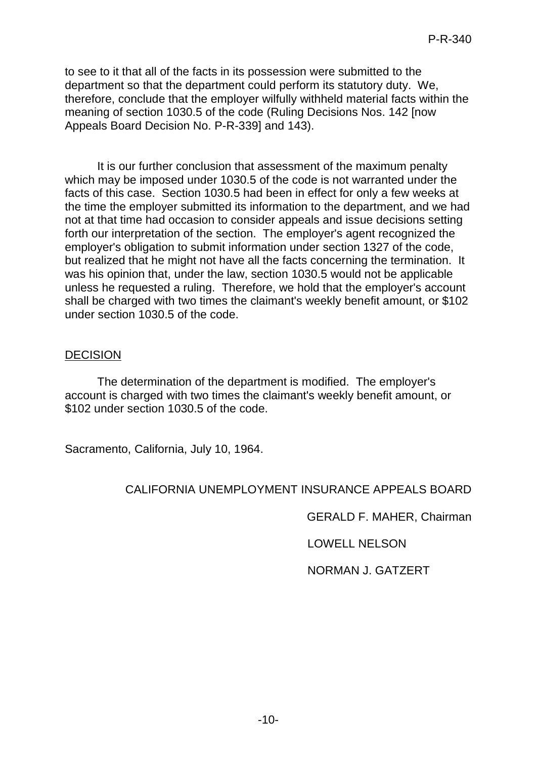to see to it that all of the facts in its possession were submitted to the department so that the department could perform its statutory duty. We, therefore, conclude that the employer wilfully withheld material facts within the meaning of section 1030.5 of the code (Ruling Decisions Nos. 142 [now Appeals Board Decision No. P-R-339] and 143).

It is our further conclusion that assessment of the maximum penalty which may be imposed under 1030.5 of the code is not warranted under the facts of this case. Section 1030.5 had been in effect for only a few weeks at the time the employer submitted its information to the department, and we had not at that time had occasion to consider appeals and issue decisions setting forth our interpretation of the section. The employer's agent recognized the employer's obligation to submit information under section 1327 of the code, but realized that he might not have all the facts concerning the termination. It was his opinion that, under the law, section 1030.5 would not be applicable unless he requested a ruling. Therefore, we hold that the employer's account shall be charged with two times the claimant's weekly benefit amount, or \$102 under section 1030.5 of the code.

#### DECISION

The determination of the department is modified. The employer's account is charged with two times the claimant's weekly benefit amount, or \$102 under section 1030.5 of the code.

Sacramento, California, July 10, 1964.

## CALIFORNIA UNEMPLOYMENT INSURANCE APPEALS BOARD

GERALD F. MAHER, Chairman

LOWELL NELSON

NORMAN J. GATZERT